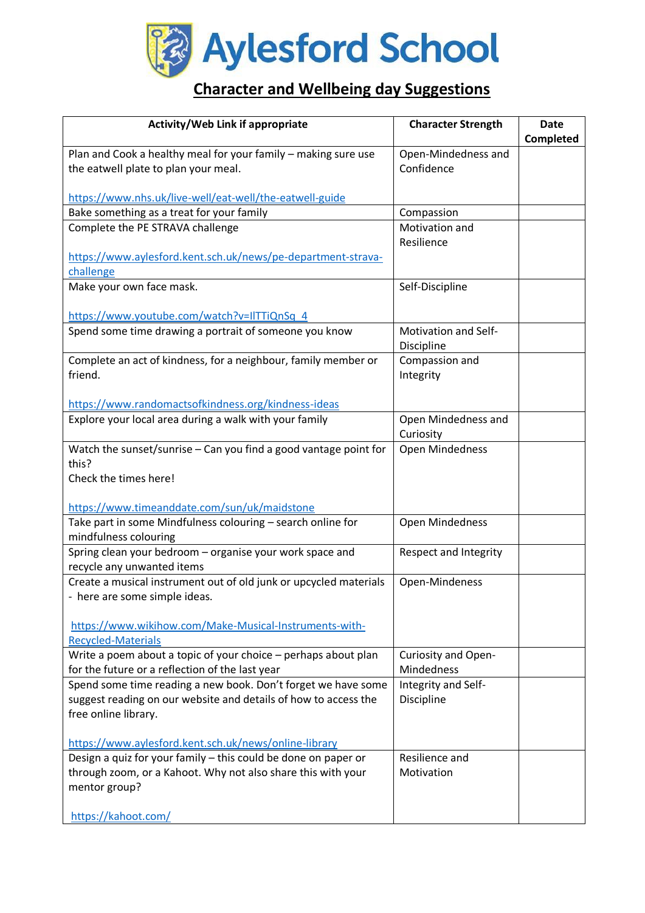

## **Character and Wellbeing day Suggestions**

| Activity/Web Link if appropriate                                                                                                 | <b>Character Strength</b>         | <b>Date</b><br>Completed |
|----------------------------------------------------------------------------------------------------------------------------------|-----------------------------------|--------------------------|
| Plan and Cook a healthy meal for your family - making sure use                                                                   | Open-Mindedness and               |                          |
| the eatwell plate to plan your meal.                                                                                             | Confidence                        |                          |
| https://www.nhs.uk/live-well/eat-well/the-eatwell-guide                                                                          |                                   |                          |
| Bake something as a treat for your family                                                                                        | Compassion                        |                          |
| Complete the PE STRAVA challenge                                                                                                 | Motivation and                    |                          |
|                                                                                                                                  | Resilience                        |                          |
| https://www.aylesford.kent.sch.uk/news/pe-department-strava-                                                                     |                                   |                          |
| challenge                                                                                                                        |                                   |                          |
| Make your own face mask.                                                                                                         | Self-Discipline                   |                          |
| https://www.youtube.com/watch?v=IITTiQnSq_4                                                                                      |                                   |                          |
| Spend some time drawing a portrait of someone you know                                                                           | <b>Motivation and Self-</b>       |                          |
|                                                                                                                                  | Discipline                        |                          |
| Complete an act of kindness, for a neighbour, family member or<br>friend.                                                        | Compassion and                    |                          |
|                                                                                                                                  | Integrity                         |                          |
| https://www.randomactsofkindness.org/kindness-ideas                                                                              |                                   |                          |
| Explore your local area during a walk with your family                                                                           | Open Mindedness and               |                          |
|                                                                                                                                  | Curiosity                         |                          |
| Watch the sunset/sunrise - Can you find a good vantage point for                                                                 | Open Mindedness                   |                          |
| this?<br>Check the times here!                                                                                                   |                                   |                          |
|                                                                                                                                  |                                   |                          |
| https://www.timeanddate.com/sun/uk/maidstone                                                                                     |                                   |                          |
| Take part in some Mindfulness colouring - search online for                                                                      | Open Mindedness                   |                          |
| mindfulness colouring                                                                                                            |                                   |                          |
| Spring clean your bedroom - organise your work space and                                                                         | Respect and Integrity             |                          |
| recycle any unwanted items<br>Create a musical instrument out of old junk or upcycled materials                                  |                                   |                          |
| - here are some simple ideas.                                                                                                    | Open-Mindeness                    |                          |
|                                                                                                                                  |                                   |                          |
| https://www.wikihow.com/Make-Musical-Instruments-with-                                                                           |                                   |                          |
| <b>Recycled-Materials</b>                                                                                                        |                                   |                          |
| Write a poem about a topic of your choice - perhaps about plan                                                                   | Curiosity and Open-               |                          |
| for the future or a reflection of the last year                                                                                  | Mindedness                        |                          |
| Spend some time reading a new book. Don't forget we have some<br>suggest reading on our website and details of how to access the | Integrity and Self-<br>Discipline |                          |
| free online library.                                                                                                             |                                   |                          |
|                                                                                                                                  |                                   |                          |
| https://www.aylesford.kent.sch.uk/news/online-library                                                                            |                                   |                          |
| Design a quiz for your family - this could be done on paper or                                                                   | Resilience and                    |                          |
| through zoom, or a Kahoot. Why not also share this with your                                                                     | Motivation                        |                          |
| mentor group?                                                                                                                    |                                   |                          |
| https://kahoot.com/                                                                                                              |                                   |                          |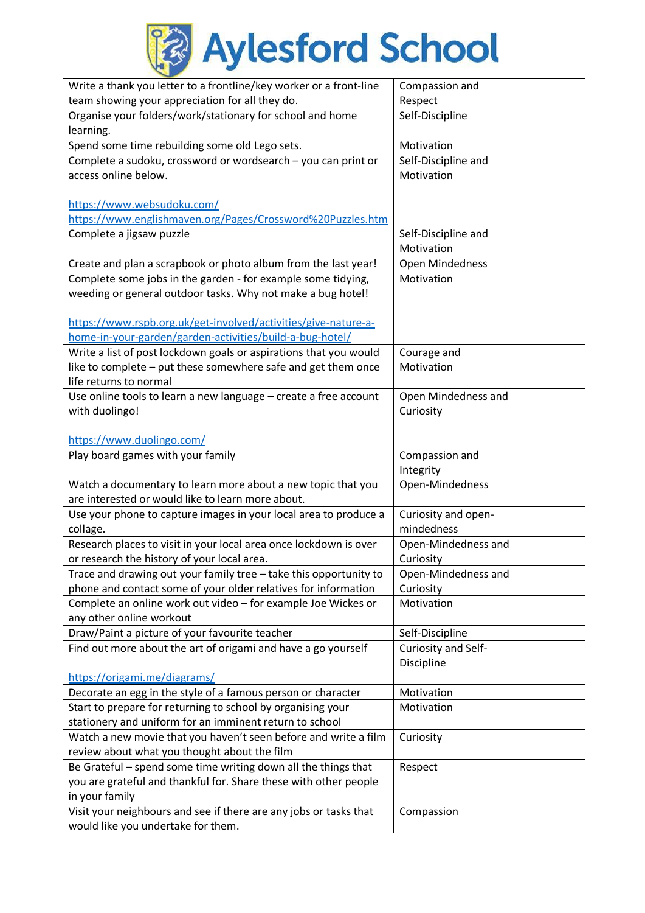

| Write a thank you letter to a frontline/key worker or a front-line | Compassion and      |  |
|--------------------------------------------------------------------|---------------------|--|
| team showing your appreciation for all they do.                    | Respect             |  |
| Organise your folders/work/stationary for school and home          | Self-Discipline     |  |
| learning.                                                          |                     |  |
| Spend some time rebuilding some old Lego sets.                     | Motivation          |  |
| Complete a sudoku, crossword or wordsearch - you can print or      | Self-Discipline and |  |
| access online below.                                               | Motivation          |  |
|                                                                    |                     |  |
| https://www.websudoku.com/                                         |                     |  |
| https://www.englishmaven.org/Pages/Crossword%20Puzzles.htm         |                     |  |
| Complete a jigsaw puzzle                                           | Self-Discipline and |  |
|                                                                    | Motivation          |  |
| Create and plan a scrapbook or photo album from the last year!     | Open Mindedness     |  |
| Complete some jobs in the garden - for example some tidying,       | Motivation          |  |
| weeding or general outdoor tasks. Why not make a bug hotel!        |                     |  |
|                                                                    |                     |  |
| https://www.rspb.org.uk/get-involved/activities/give-nature-a-     |                     |  |
| home-in-your-garden/garden-activities/build-a-bug-hotel/           |                     |  |
| Write a list of post lockdown goals or aspirations that you would  | Courage and         |  |
| like to complete - put these somewhere safe and get them once      | Motivation          |  |
| life returns to normal                                             |                     |  |
| Use online tools to learn a new language - create a free account   | Open Mindedness and |  |
| with duolingo!                                                     | Curiosity           |  |
|                                                                    |                     |  |
| https://www.duolingo.com/                                          |                     |  |
| Play board games with your family                                  | Compassion and      |  |
|                                                                    | Integrity           |  |
| Watch a documentary to learn more about a new topic that you       | Open-Mindedness     |  |
| are interested or would like to learn more about.                  |                     |  |
| Use your phone to capture images in your local area to produce a   | Curiosity and open- |  |
| collage.                                                           | mindedness          |  |
| Research places to visit in your local area once lockdown is over  | Open-Mindedness and |  |
| or research the history of your local area.                        | Curiosity           |  |
| Trace and drawing out your family tree - take this opportunity to  | Open-Mindedness and |  |
| phone and contact some of your older relatives for information     | Curiosity           |  |
| Complete an online work out video - for example Joe Wickes or      | Motivation          |  |
| any other online workout                                           |                     |  |
| Draw/Paint a picture of your favourite teacher                     | Self-Discipline     |  |
| Find out more about the art of origami and have a go yourself      | Curiosity and Self- |  |
|                                                                    | Discipline          |  |
| https://origami.me/diagrams/                                       |                     |  |
| Decorate an egg in the style of a famous person or character       | Motivation          |  |
| Start to prepare for returning to school by organising your        | Motivation          |  |
| stationery and uniform for an imminent return to school            |                     |  |
| Watch a new movie that you haven't seen before and write a film    | Curiosity           |  |
| review about what you thought about the film                       |                     |  |
| Be Grateful - spend some time writing down all the things that     | Respect             |  |
| you are grateful and thankful for. Share these with other people   |                     |  |
| in your family                                                     |                     |  |
| Visit your neighbours and see if there are any jobs or tasks that  | Compassion          |  |
| would like you undertake for them.                                 |                     |  |